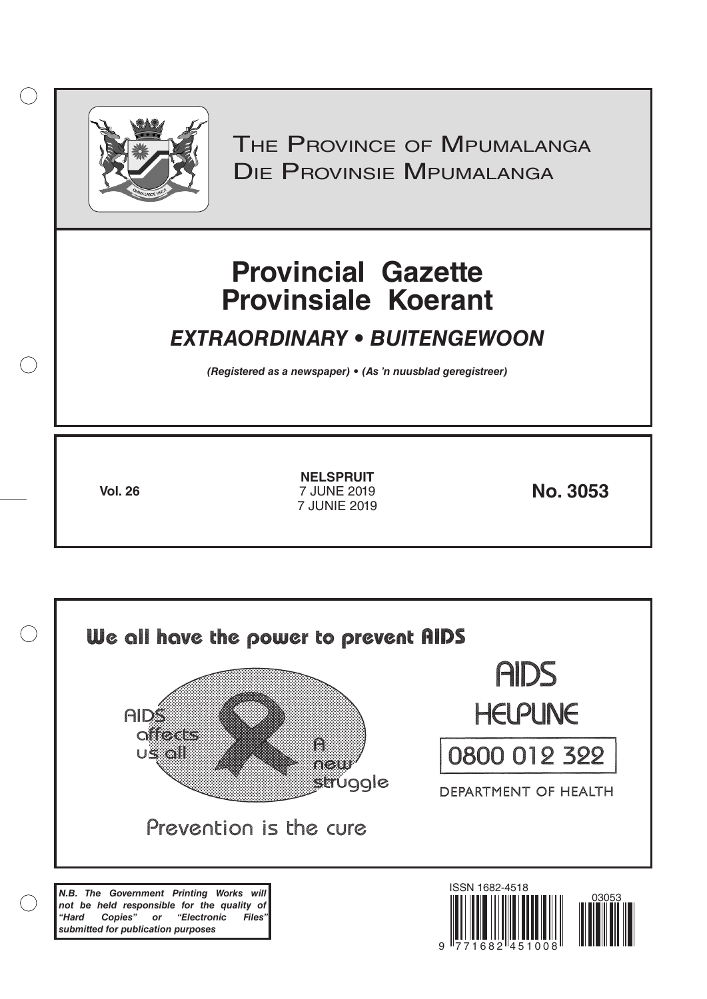

 $( )$ 

THE PROVINCE OF MPUMALANGA Die Provinsie Mpumalanga

# **Provincial Gazette Provinsiale Koerant**

# *EXTRAORDINARY • BUITENGEWOON*

*(Registered as a newspaper) • (As 'n nuusblad geregistreer)*

**Vol. 26 No. 3053 NELSPRUIT** 7 JUNE 2019 7 JUNIE 2019

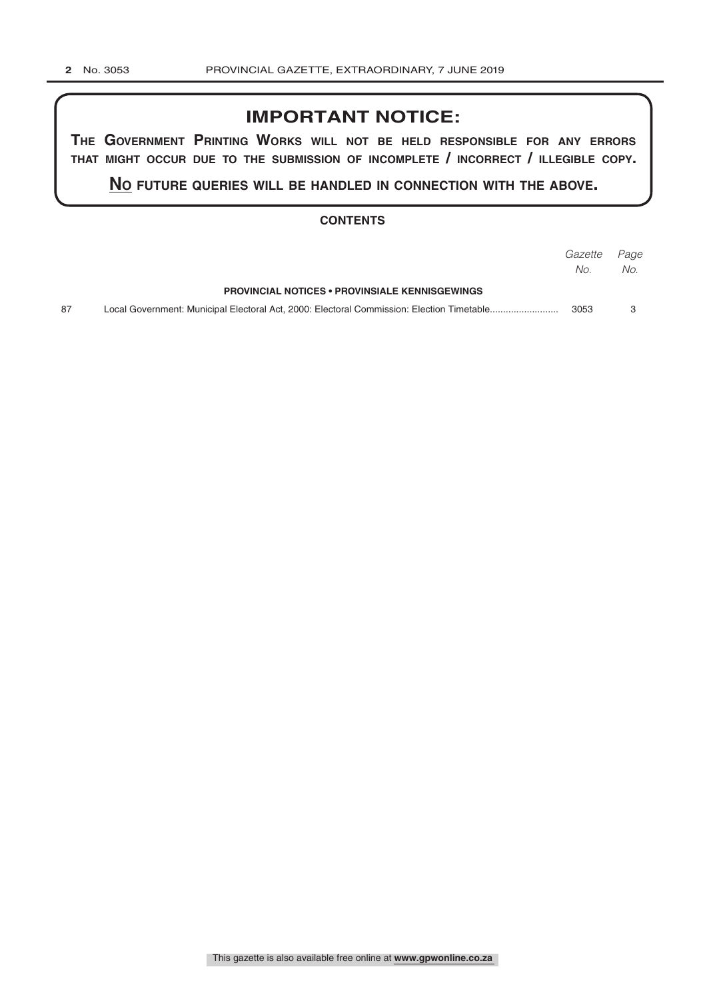## **IMPORTANT NOTICE:**

**The GovernmenT PrinTinG Works Will noT be held resPonsible for any errors ThaT miGhT occur due To The submission of incomPleTe / incorrecT / illeGible coPy.**

**no fuTure queries Will be handled in connecTion WiTh The above.**

#### **CONTENTS**

|    |                                                       | Gazette Page |     |
|----|-------------------------------------------------------|--------------|-----|
|    |                                                       | No.          | No. |
|    | <b>PROVINCIAL NOTICES • PROVINSIALE KENNISGEWINGS</b> |              |     |
| 87 |                                                       | 3053         |     |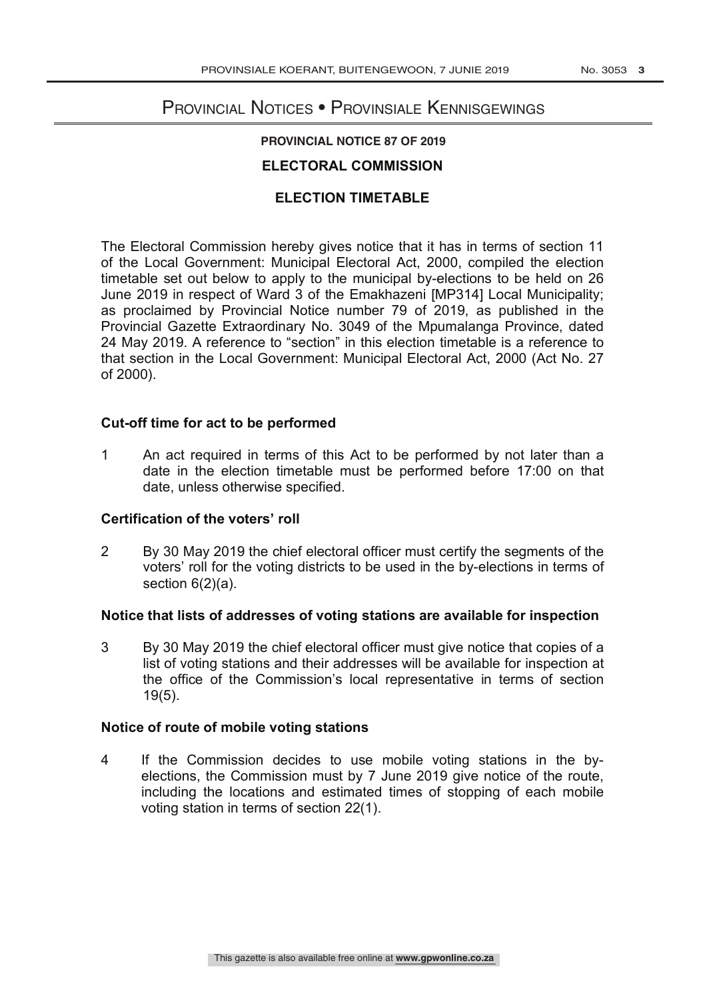### Provincial Notices • Provinsiale Kennisgewings

#### **PROVINCIAL NOTICE 87 OF 2019**

#### **ELECTORAL COMMISSION**

#### **ELECTION TIMETABLE**

The Electoral Commission hereby gives notice that it has in terms of section 11 of the Local Government: Municipal Electoral Act, 2000, compiled the election timetable set out below to apply to the municipal by-elections to be held on 26 June 2019 in respect of Ward 3 of the Emakhazeni [MP314] Local Municipality; as proclaimed by Provincial Notice number 79 of 2019, as published in the Provincial Gazette Extraordinary No. 3049 of the Mpumalanga Province, dated 24 May 2019. A reference to "section" in this election timetable is a reference to that section in the Local Government: Municipal Electoral Act, 2000 (Act No. 27 of 2000).

#### **Cut-off time for act to be performed**

1 An act required in terms of this Act to be performed by not later than a date in the election timetable must be performed before 17:00 on that date, unless otherwise specified.

#### **Certification of the voters' roll**

2 By 30 May 2019 the chief electoral officer must certify the segments of the voters' roll for the voting districts to be used in the by-elections in terms of section 6(2)(a).

#### **Notice that lists of addresses of voting stations are available for inspection**

3 By 30 May 2019 the chief electoral officer must give notice that copies of a list of voting stations and their addresses will be available for inspection at the office of the Commission's local representative in terms of section 19(5).

#### **Notice of route of mobile voting stations**

4 If the Commission decides to use mobile voting stations in the byelections, the Commission must by 7 June 2019 give notice of the route, including the locations and estimated times of stopping of each mobile voting station in terms of section 22(1).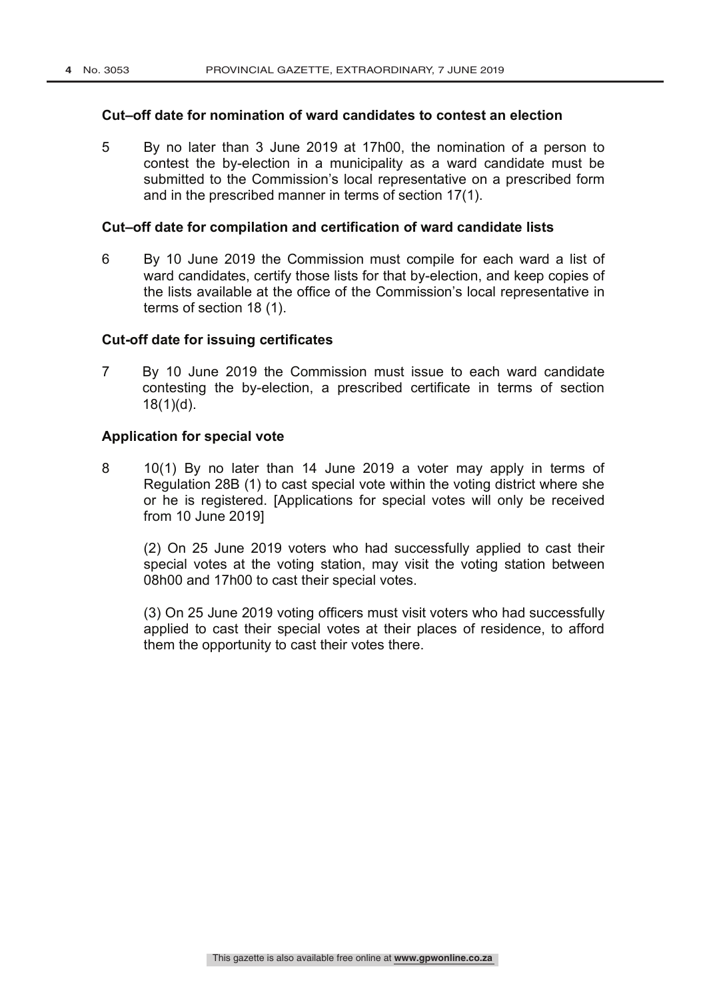#### **Cut–off date for nomination of ward candidates to contest an election**

5 By no later than 3 June 2019 at 17h00, the nomination of a person to contest the by-election in a municipality as a ward candidate must be submitted to the Commission's local representative on a prescribed form and in the prescribed manner in terms of section 17(1).

#### **Cut–off date for compilation and certification of ward candidate lists**

6 By 10 June 2019 the Commission must compile for each ward a list of ward candidates, certify those lists for that by-election, and keep copies of the lists available at the office of the Commission's local representative in terms of section 18 (1).

#### **Cut-off date for issuing certificates**

7 By 10 June 2019 the Commission must issue to each ward candidate contesting the by-election, a prescribed certificate in terms of section  $18(1)(d)$ .

#### **Application for special vote**

8 10(1) By no later than 14 June 2019 a voter may apply in terms of Regulation 28B (1) to cast special vote within the voting district where she or he is registered. [Applications for special votes will only be received from 10 June 2019]

(2) On 25 June 2019 voters who had successfully applied to cast their special votes at the voting station, may visit the voting station between 08h00 and 17h00 to cast their special votes.

(3) On 25 June 2019 voting officers must visit voters who had successfully applied to cast their special votes at their places of residence, to afford them the opportunity to cast their votes there.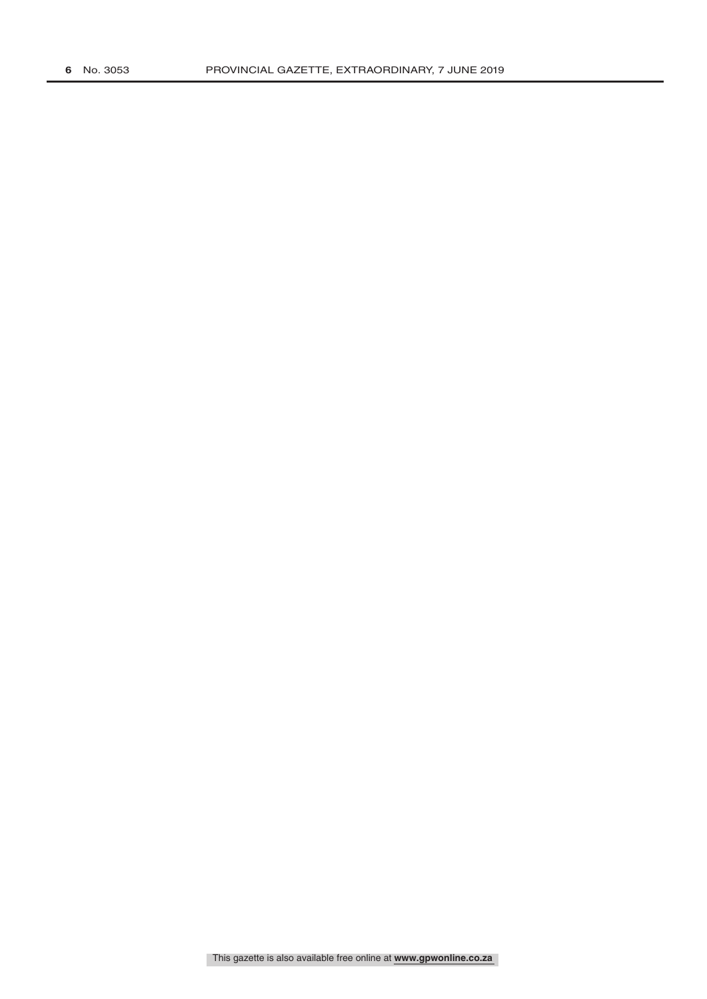This gazette is also available free online at **www.gpwonline.co.za**